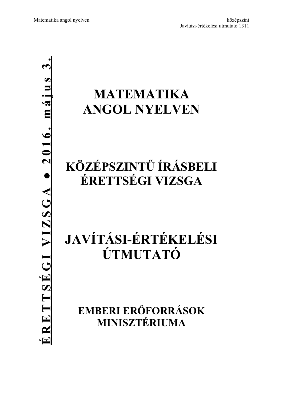# **MATEMATIKA ANGOL NYELVEN**

## **KÖZÉPSZINTŰ ÍRÁSBELI ÉRETTSÉGI VIZSGA**

# **JAVÍTÁSI-ÉRTÉKELÉSI ÚTMUTATÓ**

**EMBERI ERŐFORRÁSOK MINISZTÉRIUMA**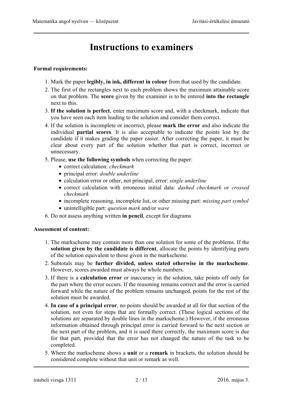### **Instructions to examiners**

#### **Formal requirements:**

- 1. Mark the paper **legibly, in ink, different in colour** from that used by the candidate.
- 2. The first of the rectangles next to each problem shows the maximum attainable score on that problem. The **score** given by the examiner is to be entered **into the rectangle** next to this.
- 3. **If the solution is perfect**, enter maximum score and, with a checkmark, indicate that you have seen each item leading to the solution and consider them correct.
- 4. If the solution is incomplete or incorrect, please **mark the error** and also indicate the individual **partial scores**. It is also acceptable to indicate the points lost by the candidate if it makes grading the paper easier. After correcting the paper, it must be clear about every part of the solution whether that part is correct, incorrect or unnecessary.
- 5. Please, **use the following symbols** when correcting the paper:
	- correct calculation: *checkmark*
	- principal error: *double underline*
	- calculation error or other, not principal, error: *single underline*
	- correct calculation with erroneous initial data: *dashed checkmark or crossed checkmark*
	- incomplete reasoning, incomplete list, or other missing part: *missing part symbol*
	- unintelligible part: *question mark* and/or *wave*
- 6. Do not assess anything written **in pencil**, except for diagrams

#### **Assessment of content:**

- 1. The markscheme may contain more than one solution for some of the problems. If the **solution given by the candidate is different**, allocate the points by identifying parts of the solution equivalent to those given in the markscheme.
- 2. Subtotals may be **further divided, unless stated otherwise in the markscheme**. However, scores awarded must always be whole numbers.
- 3. If there is a **calculation error** or inaccuracy in the solution, take points off only for the part where the error occurs. If the reasoning remains correct and the error is carried forward while the nature of the problem remains unchanged, points for the rest of the solution must be awarded.
- 4. **In case of a principal error**, no points should be awarded at all for that section of the solution, not even for steps that are formally correct. (These logical sections of the solutions are separated by double lines in the markscheme.) However, if the erroneous information obtained through principal error is carried forward to the next section or the next part of the problem, and it is used there correctly, the maximum score is due for that part, provided that the error has not changed the nature of the task to be completed.
- 5. Where the markscheme shows a **unit** or a **remark** in brackets, the solution should be considered complete without that unit or remark as well.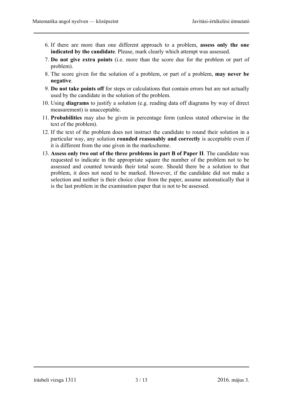- 6. If there are more than one different approach to a problem, **assess only the one indicated by the candidate**. Please, mark clearly which attempt was assessed.
- 7. **Do not give extra points** (i.e. more than the score due for the problem or part of problem).
- 8. The score given for the solution of a problem, or part of a problem, **may never be negative**.
- 9. **Do not take points off** for steps or calculations that contain errors but are not actually used by the candidate in the solution of the problem.
- 10. Using **diagrams** to justify a solution (e.g. reading data off diagrams by way of direct measurement) is unacceptable.
- 11. **Probabilities** may also be given in percentage form (unless stated otherwise in the text of the problem).
- 12. If the text of the problem does not instruct the candidate to round their solution in a particular way, any solution **rounded reasonably and correctly** is acceptable even if it is different from the one given in the markscheme.
- 13. **Assess only two out of the three problems in part B of Paper II**. The candidate was requested to indicate in the appropriate square the number of the problem not to be assessed and counted towards their total score. Should there be a solution to that problem, it does not need to be marked. However, if the candidate did not make a selection and neither is their choice clear from the paper, assume automatically that it is the last problem in the examination paper that is not to be assessed.

írásbeli vizsga 1311 3/13 2016. május 3.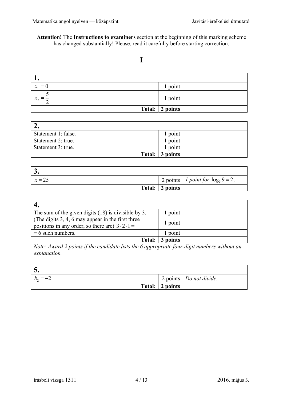**Attention!** The **Instructions to examiners** section at the beginning of this marking scheme has changed substantially! Please, read it carefully before starting correction.

#### **I**

| . .                      |                 |  |
|--------------------------|-----------------|--|
| $= 0$<br>$\mathcal{X}_1$ | 1 point         |  |
| $x_2$                    | 1 point         |  |
|                          | Total: 2 points |  |

| Statement 1: false. | point           |  |
|---------------------|-----------------|--|
| Statement 2: true.  | point           |  |
| Statement 3: true.  | point           |  |
|                     | Total: 3 points |  |

| $x = 25$ |                 | 2 points   1 point for $\log_3 9 = 2$ . |
|----------|-----------------|-----------------------------------------|
|          | Total: 2 points |                                         |

| The sum of the given digits $(18)$ is divisible by 3.                                                             | point    |  |
|-------------------------------------------------------------------------------------------------------------------|----------|--|
| (The digits $3, 4, 6$ may appear in the first three<br>positions in any order, so there are $3 \cdot 2 \cdot 1 =$ | 1 point  |  |
| $= 6$ such numbers.                                                                                               | point    |  |
| Total:                                                                                                            | 3 points |  |

*Note: Award 2 points if the candidate lists the 6 appropriate four-digit numbers without an explanation.* 

| J.         |                 |                         |
|------------|-----------------|-------------------------|
| $b_2 = -2$ |                 | 2 points Do not divide. |
|            | Total: 2 points |                         |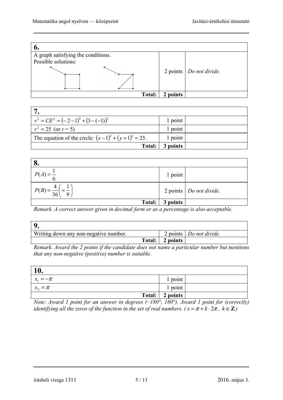

| $r^{2} = CE^{2} = (-2-1)^{2} + (3-(-1))^{2}$           | 1 point  |  |
|--------------------------------------------------------|----------|--|
| $r^2 = 25$ (or $r = 5$ )                               | 1 point  |  |
| The equation of the circle: $(x-1)^2 + (y+1)^2 = 25$ . | 1 point  |  |
| Total:                                                 | 3 points |  |



*Remark. A correct answer given in decimal form or as a percentage is also acceptable.* 

| Writing down any non-negative number. |        |          | 2 points $\vert$ <i>Do not divide.</i> |
|---------------------------------------|--------|----------|----------------------------------------|
|                                       | Total: | 2 points |                                        |

*Remark. Award the 2 points if the candidate does not name a particular number but mentions that any non-negative (positive) number is suitable.* 

| 10.          |                 |  |
|--------------|-----------------|--|
| $x_1 = -\pi$ | 1 point         |  |
| $x_2 = \pi$  | 1 point         |  |
|              | Total: 2 points |  |

*Note: Award 1 point for an answer in degrees (*−*180°, 180°). Award 1 point for (correctly) identifying all the zeros of the function in the set of real numbers.*  $(x = \pi + k \cdot 2\pi, k \in \mathbb{Z}$ )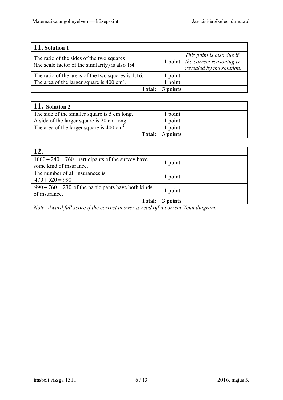| 11. Solution 1                                                                                 |        |                                                                                                                                                            |
|------------------------------------------------------------------------------------------------|--------|------------------------------------------------------------------------------------------------------------------------------------------------------------|
| The ratio of the sides of the two squares<br>(the scale factor of the similarity) is also 1:4. |        | $\begin{array}{c} \n\text{This point is also due if} \\ 1 \text{ point} \quad \text{the correct reasoning is} \\ \end{array}$<br>revealed by the solution. |
| The ratio of the areas of the two squares is $1:16$ .                                          | point  |                                                                                                                                                            |
| The area of the larger square is $400 \text{ cm}^2$ .                                          | point  |                                                                                                                                                            |
| <b>Total:</b>                                                                                  | points |                                                                                                                                                            |

| $11.$ Solution 2                                       |          |  |
|--------------------------------------------------------|----------|--|
| The side of the smaller square is 5 cm long.           | point    |  |
| A side of the larger square is 20 cm long.             | point    |  |
| The area of the larger square is 400 cm <sup>2</sup> . | point    |  |
| Total:                                                 | 3 points |  |

| 12.                                                                           |         |  |
|-------------------------------------------------------------------------------|---------|--|
| $1000 - 240 = 760$ participants of the survey have<br>some kind of insurance. | 1 point |  |
|                                                                               |         |  |
| The number of all insurances is<br>$470 + 520 = 990$ .                        | 1 point |  |
| $990 - 760 = 230$ of the participants have both kinds<br>of insurance.        | 1 point |  |
| <b>Total:</b>                                                                 | points  |  |

*Note: Award full score if the correct answer is read off a correct Venn diagram.*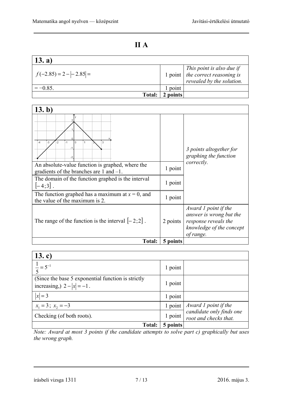### **II A**

| 13. a)                     |        |                                                                                                                                                                  |
|----------------------------|--------|------------------------------------------------------------------------------------------------------------------------------------------------------------------|
| $f(-2.85) = 2 -  -2.85  =$ |        | $\begin{array}{c c} \hline \text{This point is also due if} \\ \hline \text{1 point} & \text{the correct reasoning is} \end{array}$<br>revealed by the solution. |
| $=-0.85$                   | point  |                                                                                                                                                                  |
| Total:                     | points |                                                                                                                                                                  |

| (13. b)                                                                                          |          |                                                                                                                  |
|--------------------------------------------------------------------------------------------------|----------|------------------------------------------------------------------------------------------------------------------|
| 3<br>l o<br>$-3$<br>$-1$<br>1<br>$-4$<br>$-2$                                                    |          | 3 points altogether for<br>graphing the function<br>correctly.                                                   |
| An absolute-value function is graphed, where the<br>gradients of the branches are $1$ and $-1$ . | 1 point  |                                                                                                                  |
| The domain of the function graphed is the interval<br>$[-4;3]$ .                                 | 1 point  |                                                                                                                  |
| The function graphed has a maximum at $x = 0$ , and<br>the value of the maximum is 2.            | 1 point  |                                                                                                                  |
| The range of the function is the interval $[-2,2]$ .                                             | 2 points | Award 1 point if the<br>answer is wrong but the<br>response reveals the<br>knowledge of the concept<br>of range. |
| <b>Total:</b>                                                                                    | 5 points |                                                                                                                  |

| 13. c)                                                                             |          |                                                   |
|------------------------------------------------------------------------------------|----------|---------------------------------------------------|
| $\frac{1}{5} = 5^{-1}$                                                             | 1 point  |                                                   |
| (Since the base 5 exponential function is strictly<br>increasing, $2 -  x  = -1$ . | 1 point  |                                                   |
| $ x =3$                                                                            | 1 point  |                                                   |
| $x_1 = 3$ ; $x_2 = -3$                                                             | 1 point  | Award 1 point if the                              |
| Checking (of both roots).                                                          | 1 point  | candidate only finds one<br>root and checks that. |
| <b>Total:</b>                                                                      | 5 points |                                                   |

*Note: Award at most 3 points if the candidate attempts to solve part c) graphically but uses the wrong graph.*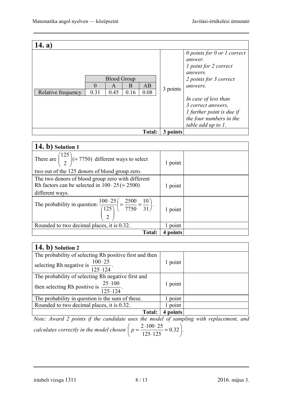| 14. a              |                  |                                            |           |               |          |                                                                                                                                         |
|--------------------|------------------|--------------------------------------------|-----------|---------------|----------|-----------------------------------------------------------------------------------------------------------------------------------------|
| Relative frequency | $\Omega$<br>0.31 | <b>Blood Group</b><br>$\mathsf{A}$<br>0.45 | B<br>0.16 | AB<br>0.08    | 3 points | $\theta$ points for $\theta$ or $\theta$ correct<br>answer.<br>1 point for 2 correct<br>answers.<br>2 points for 3 correct<br>answers.  |
|                    |                  |                                            |           |               |          | In case of less than<br>3 correct answers,<br>$\iint$ <i>I</i> further point is due if<br>the four numbers in the<br>table add up to 1. |
|                    |                  |                                            |           | <b>Total:</b> | 3 points |                                                                                                                                         |

| 14. b) Solution 1                                                                                                             |             |  |
|-------------------------------------------------------------------------------------------------------------------------------|-------------|--|
| There are $\binom{125}{2}$ (= 7750) different ways to select<br>two out of the 125 donors of blood group zero.                | 1 point     |  |
| The two donors of blood group zero with different<br>Rh factors can be selected in $100 \cdot 25 (= 2500)$<br>different ways. | 1 point     |  |
| The probability in question: $\frac{100 \cdot 25}{\binom{125}{2}} = \frac{2500}{7750} = \frac{10}{31}$                        | 1 point     |  |
| Rounded to two decimal places, it is 0.32.                                                                                    | 1 point     |  |
| <b>Total:</b>                                                                                                                 | points<br>4 |  |

| 14. b) Solution 2                                                    |         |  |
|----------------------------------------------------------------------|---------|--|
| The probability of selecting Rh positive first and then              |         |  |
| selecting Rh negative is $\frac{100 \cdot 25}{125 \cdot 124}$ .      | 1 point |  |
| The probability of selecting Rh negative first and                   |         |  |
| then selecting Rh positive is $\frac{25 \cdot 100}{125 \cdot 124}$ . | 1 point |  |
| The probability in question is the sum of these.                     | point   |  |
| Rounded to two decimal places, it is 0.32.                           | point   |  |
| <b>Total:</b>                                                        | points  |  |

*Note: Award 2 points if the candidate uses the model of sampling with replacement, and calculates correctly in the model chosen*  $p = \frac{240025}{125.125} = 0.32$ J  $\left(p = \frac{2.100 \cdot 25}{125 \cdot 125} = 0.32\right)$  $\left(p = \frac{2 \cdot 100 \cdot 25}{125 \cdot 125} = 0.32\right)$ 125 125  $p = \frac{2.100 \cdot 25}{125 \cdot 125} = 0.32$ .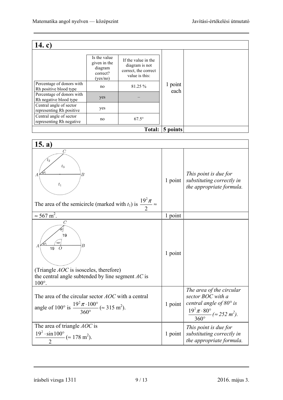| 14. c)                                              |                                                                 |                                                                                 |          |  |
|-----------------------------------------------------|-----------------------------------------------------------------|---------------------------------------------------------------------------------|----------|--|
| Percentage of donors with                           | Is the value<br>given in the<br>diagram<br>correct?<br>(yes/no) | If the value in the<br>diagram is not<br>correct, the correct<br>value is this: | 1 point  |  |
| Rh positive blood type                              | no                                                              | 81.25 %                                                                         | each     |  |
| Percentage of donors with<br>Rh negative blood type | yes                                                             |                                                                                 |          |  |
| Central angle of sector<br>representing Rh positive | yes                                                             |                                                                                 |          |  |
| Central angle of sector<br>representing Rh negative | no                                                              | $67.5^{\circ}$                                                                  |          |  |
|                                                     |                                                                 | <b>Total:</b>                                                                   | 5 points |  |

| 15. a)                                                                                                                                                                      |         |                                                                                                                                                               |
|-----------------------------------------------------------------------------------------------------------------------------------------------------------------------------|---------|---------------------------------------------------------------------------------------------------------------------------------------------------------------|
| $\overline{C}$<br>$t_3$<br>$\overline{B}$<br>$t_1$<br>The area of the semicircle (marked with $t_1$ ) is $\frac{19^2 \pi}{2}$                                               | 1 point | This point is due for<br>substituting correctly in<br>the appropriate formula.                                                                                |
| $\approx 567 \text{ m}^2$ .                                                                                                                                                 | 1 point |                                                                                                                                                               |
| $\overline{C}$<br>19<br>$100^\circ$<br>B<br>19<br>$\Omega$<br>(Triangle <i>AOC</i> is isosceles, therefore)<br>the central angle subtended by line segment $AC$ is<br>100°. | 1 point |                                                                                                                                                               |
| The area of the circular sector <i>AOC</i> with a central<br>angle of 100° is $\frac{19^2 \pi \cdot 100^{\circ}}{360^{\circ}}$ ( $\approx 315$ m <sup>2</sup> ).            | 1 point | The area of the circular<br>sector BOC with a<br>central angle of $80^\circ$ is<br>$\frac{19^2 \pi \cdot 80^{\circ}}{360^{\circ}} (\approx 252 \text{ m}^2).$ |
| The area of triangle <i>AOC</i> is<br>$\frac{19^2 \cdot \sin 100^{\circ}}{2}$ (= 178 m <sup>2</sup> ).                                                                      | 1 point | This point is due for<br>substituting correctly in<br>the appropriate formula.                                                                                |

írásbeli vizsga 1311 9 / 13 2016. május 3.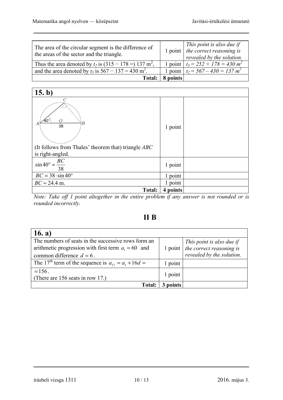| The area of the circular segment is the difference of<br>the areas of the sector and the triangle. |          | This point is also due if<br>1 point $\vert$ the correct reasoning is<br>revealed by the solution. |
|----------------------------------------------------------------------------------------------------|----------|----------------------------------------------------------------------------------------------------|
| Thus the area denoted by $t_2$ is $(315 - 178 =) 137$ m <sup>2</sup> ,                             |          | 1 point $t_3 = 252 + 178 = 430 m^2$                                                                |
| and the area denoted by $t_3$ is $567 - 137 = 430$ m <sup>2</sup> .                                |          | 1 point $t_2 = 567 - 430 = 137 m^2$                                                                |
| <b>Total:</b>                                                                                      | 8 points |                                                                                                    |

| 15. b)                                                                                                                           |          |  |
|----------------------------------------------------------------------------------------------------------------------------------|----------|--|
| $\mathcal{C}$<br>$\sqrt{40}$ °<br>Ω<br>B<br>А<br>38<br>(It follows from Thales' theorem that) triangle $ABC$<br>is right-angled. | 1 point  |  |
| $\sin 40^\circ = \frac{BC}{38}$                                                                                                  | 1 point  |  |
| $BC = 38 \cdot \sin 40^\circ$                                                                                                    | 1 point  |  |
| $BC \approx 24.4$ m.                                                                                                             | 1 point  |  |
| Total:                                                                                                                           | 4 points |  |

*Note: Take off 1 point altogether in the entire problem if any answer is not rounded or is rounded incorrectly.* 

### **II B**

| 16. a)                                                                                                       |                 |                                                       |
|--------------------------------------------------------------------------------------------------------------|-----------------|-------------------------------------------------------|
| The numbers of seats in the successive rows form an<br>arithmetic progression with first term $a_1 = 60$ and |                 | This point is also due if<br>the correct reasoning is |
| common difference $d = 6$ .                                                                                  | 1 point $\vert$ | revealed by the solution.                             |
| The 17 <sup>th</sup> term of the sequence is $a_{17} = a_1 + 16d =$                                          | 1 point         |                                                       |
| $= 156$ .<br>(There are 156 seats in row 17.)                                                                | 1 point         |                                                       |
| <b>Total:</b>                                                                                                | points          |                                                       |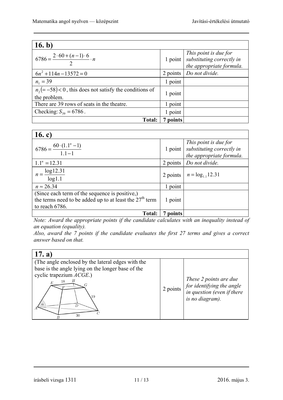| 16. b)                                                                   |          |                                                                                         |
|--------------------------------------------------------------------------|----------|-----------------------------------------------------------------------------------------|
| $6786 = \frac{2 \cdot 60 + (n-1) \cdot 6}{2} \cdot n$                    |          | $[This point is due for 1 point] substituting correctly in$<br>the appropriate formula. |
| $6n^2 + 114n - 13572 = 0$                                                | 2 points | Do not divide.                                                                          |
| $n_1 = 39$                                                               | 1 point  |                                                                                         |
| $n_2 = -58$ < 0, this does not satisfy the conditions of<br>the problem. | 1 point  |                                                                                         |
| There are 39 rows of seats in the theatre.                               | 1 point  |                                                                                         |
| Checking: $S_{39} = 6786$ .                                              | 1 point  |                                                                                         |
| <b>Total:</b>                                                            | points   |                                                                                         |

| 16. c)                                                                                                                        |                |                                                                                                      |
|-------------------------------------------------------------------------------------------------------------------------------|----------------|------------------------------------------------------------------------------------------------------|
| $6786 = \frac{60 \cdot (1.1^{n} - 1)}{1.1 - 1}$                                                                               |                | This point is due for<br>1 point $\frac{1}{s}$ substituting correctly in<br>the appropriate formula. |
| $1.1n = 12.31$                                                                                                                | 2 points       | Do not divide.                                                                                       |
| $n = \frac{\log 12.31}{\log 1.1}$                                                                                             | $2$ points $ $ | $n = log_{1.1} 12.31$                                                                                |
| $n \approx 26.34$                                                                                                             | 1 point        |                                                                                                      |
| (Since each term of the sequence is positive,)<br>the terms need to be added up to at least the $27th$ term<br>to reach 6786. | 1 point        |                                                                                                      |
| Total:                                                                                                                        | points         |                                                                                                      |

*Note: Award the appropriate points if the candidate calculates with an inequality instead of an equation (equality).* 

*Also, award the 7 points if the candidate evaluates the first 27 terms and gives a correct answer based on that.*

| (17. a)                                                                                                                                                          |          |                                                                                                      |
|------------------------------------------------------------------------------------------------------------------------------------------------------------------|----------|------------------------------------------------------------------------------------------------------|
| (The angle enclosed by the lateral edges with the<br>base is the angle lying on the longer base of the<br>cyclic trapezium $ACGE$ .)<br>Н<br>18<br>E<br>19<br>30 | 2 points | These 2 points are due<br>for identifying the angle<br>in question (even if there<br>is no diagram). |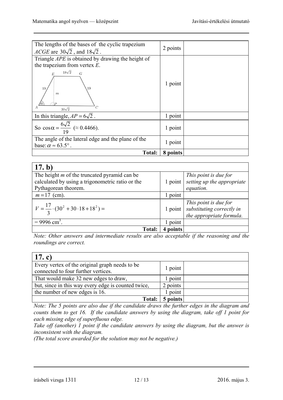| The lengths of the bases of the cyclic trapezium<br>ACGE are $30\sqrt{2}$ , and $18\sqrt{2}$ . | 2 points |  |
|------------------------------------------------------------------------------------------------|----------|--|
| Triangle <i>APE</i> is obtained by drawing the height of                                       |          |  |
| the trapezium from vertex $E$ .<br>$18\sqrt{2}$<br>$\overline{G}$<br>E                         |          |  |
| 19<br>19<br>$\boldsymbol{m}$<br>$\mathcal{D}$<br>$30\sqrt{2}$                                  | 1 point  |  |
| In this triangle, $AP = 6\sqrt{2}$ .                                                           | 1 point  |  |
| So $\cos \alpha = \frac{6\sqrt{2}}{19}$ ( $\approx 0.4466$ ).                                  | 1 point  |  |
| The angle of the lateral edge and the plane of the<br>base: $\alpha \approx 63.5^{\circ}$ .    | 1 point  |  |
| <b>Total:</b>                                                                                  | 8 points |  |

| 17. b)                                                                                                                          |                          |                                                                                        |
|---------------------------------------------------------------------------------------------------------------------------------|--------------------------|----------------------------------------------------------------------------------------|
| The height $m$ of the truncated pyramid can be                                                                                  |                          | This point is due for<br>setting up the appropriate                                    |
| calculated by using a trigonometric ratio or the                                                                                | 1 point                  |                                                                                        |
| Pythagorean theorem.                                                                                                            |                          | equation.                                                                              |
| $m = 17$ (cm).                                                                                                                  | point                    |                                                                                        |
| $V = \frac{17}{2} \cdot (30^2 + 30 \cdot 18 + 18^2) =$                                                                          |                          | This point is due for<br>1 point substituting correctly in<br>the appropriate formula. |
| $= 9996$ cm <sup>3</sup> .                                                                                                      | point                    |                                                                                        |
| <b>Total:</b>                                                                                                                   | points<br>$\overline{4}$ |                                                                                        |
| $\mathbf{v}$ . $\mathbf{v}$<br>$\mathbf{v}$ $\mathbf{v}$ $\mathbf{v}$<br>$\mathbf{r}$ . The set of $\mathbf{r}$<br>$\mathbf{r}$ |                          | $\mathbf{1}$ $\mathbf{1}$ $\mathbf{1}$ $\mathbf{1}$                                    |

*Note: Other answers and intermediate results are also acceptable if the reasoning and the roundings are correct.* 

| 17. c)                                                                                |          |  |
|---------------------------------------------------------------------------------------|----------|--|
| Every vertex of the original graph needs to be<br>connected to four further vertices. | 1 point  |  |
| That would make 32 new edges to draw,                                                 | point    |  |
| but, since in this way every edge is counted twice,                                   | 2 points |  |
| the number of new edges is 16.                                                        | point    |  |
| <b>Total:</b>                                                                         | 5 points |  |

*Note: The 5 points are also due if the candidate draws the further edges in the diagram and counts them to get 16. If the candidate answers by using the diagram, take off 1 point for each missing edge of superfluous edge.* 

*Take off (another) 1 point if the candidate answers by using the diagram, but the answer is inconsistent with the diagram.* 

*(The total score awarded for the solution may not be negative.)*